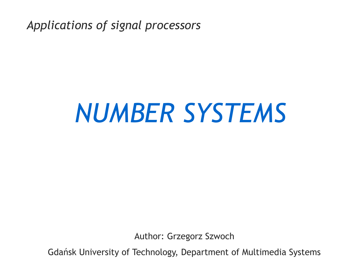*Applications of signal processors*

# *NUMBER SYSTEMS*

Author: Grzegorz Szwoch

Gdańsk University of Technology, Department of Multimedia Systems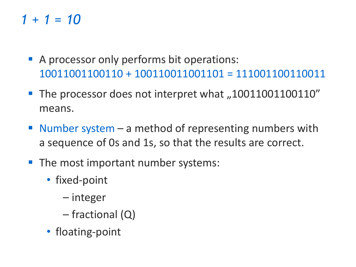## *1 + 1 = 10*

- A processor only performs bit operations: 10011001100110 + 100110011001101 = 111001100110011
- The processor does not interpret what "10011001100110" means.
- **E** Number system  $-$  a method of representing numbers with a sequence of 0s and 1s, so that the results are correct.
- The most important number systems:
	- fixed-point
		- integer
		- fractional (Q)
	- floating-point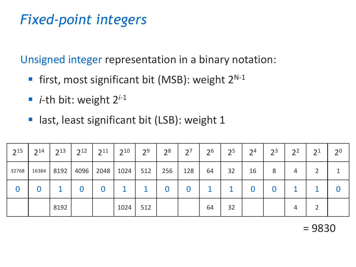# *Fixed-point integers*

Unsigned integer representation in a binary notation:

- first, most significant bit (MSB): weight 2<sup>N-1</sup>
- *i*-th bit: weight 2<sup>*i*-1</sup>
- last, least significant bit (LSB): weight 1

| $2^{15}$ | 2 <sup>14</sup> | $2^{13}$ | 2 <sup>12</sup> | $2^{11}$ | 210  | 2 <sup>9</sup> | 2 <sup>8</sup> | $2^7$ | 2 <sup>6</sup> | 2 <sup>5</sup> | 2 <sup>4</sup> | 2 <sup>3</sup> | 2 <sup>2</sup> | 2 <sub>1</sub> | 2 <sup>0</sup> |
|----------|-----------------|----------|-----------------|----------|------|----------------|----------------|-------|----------------|----------------|----------------|----------------|----------------|----------------|----------------|
| 32768    | 16384           | 8192     | 4096            | 2048     | 1024 | 512            | 256            | 128   | 64             | 32             | 16             | 8              | 4              |                |                |
| 0        |                 |          | 0               |          |      |                | 0              | 0     |                |                | O              | $\bf{0}$       |                |                |                |
|          |                 | 8192     |                 |          | 1024 | 512            |                |       | 64             | 32             |                |                | 4              |                |                |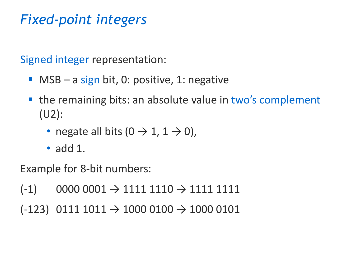# *Fixed-point integers*

Signed integer representation:

- **MSB** a sign bit, 0: positive, 1: negative
- the remaining bits: an absolute value in two's complement (U2):
	- negate all bits  $(0 \rightarrow 1, 1 \rightarrow 0)$ ,
	- add 1.

Example for 8-bit numbers:

- $(-1)$  0000 0001  $\rightarrow$  1111 1110  $\rightarrow$  1111 1111
- $(-123)$  0111 1011  $\rightarrow$  1000 0100  $\rightarrow$  1000 0101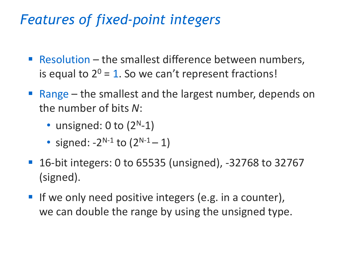#### *Features of fixed-point integers*

- Resolution the smallest difference between numbers, is equal to  $2^0 = 1$ . So we can't represent fractions!
- $\blacksquare$  Range the smallest and the largest number, depends on the number of bits *N*:
	- unsigned:  $0$  to  $(2<sup>N</sup>-1)$
	- signed:  $-2^{N-1}$  to  $(2^{N-1}-1)$
- 16-bit integers: 0 to 65535 (unsigned), -32768 to 32767 (signed).
- If we only need positive integers (e.g. in a counter), we can double the range by using the unsigned type.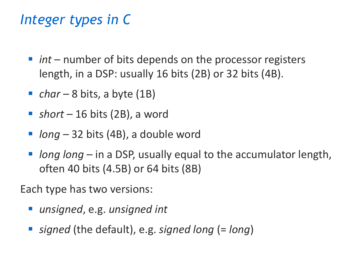## *Integer types in C*

- *int* number of bits depends on the processor registers length, in a DSP: usually 16 bits (2B) or 32 bits (4B).
- *char* 8 bits, a byte (1B)
- *short* 16 bits (2B), a word
- *long* − 32 bits (4B), a double word
- *long long* in a DSP, usually equal to the accumulator length, often 40 bits (4.5B) or 64 bits (8B)

Each type has two versions:

- *unsigned*, e.g. *unsigned int*
- *signed* (the default), e.g. *signed long* (= *long*)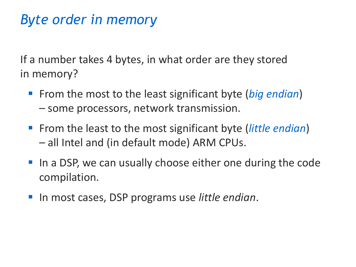## *Byte order in memory*

If a number takes 4 bytes, in what order are they stored in memory?

- From the most to the least significant byte (*big endian*) – some processors, network transmission.
- From the least to the most significant byte (*little endian*) – all Intel and (in default mode) ARM CPUs.
- In a DSP, we can usually choose either one during the code compilation.
- In most cases, DSP programs use *little endian*.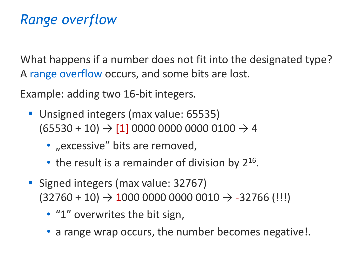# *Range overflow*

What happens if a number does not fit into the designated type? A range overflow occurs, and some bits are lost*.*

Example: adding two 16-bit integers.

- Unsigned integers (max value: 65535)  $(65530 + 10) \rightarrow [1] 0000 0000 0000 0100 \rightarrow 4$ 
	- · "excessive" bits are removed,
	- $\bullet$  the result is a remainder of division by 2<sup>16</sup>.
- Signed integers (max value: 32767)  $(32760 + 10) \rightarrow 1000 0000 0000 0010 \rightarrow -32766$  (!!!)
	- "1" overwrites the bit sign,
	- a range wrap occurs, the number becomes negative!.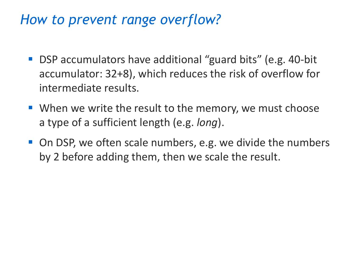#### *How to prevent range overflow?*

- DSP accumulators have additional "guard bits" (e.g. 40-bit accumulator: 32+8), which reduces the risk of overflow for intermediate results.
- When we write the result to the memory, we must choose a type of a sufficient length (e.g. *long*).
- On DSP, we often scale numbers, e.g. we divide the numbers by 2 before adding them, then we scale the result.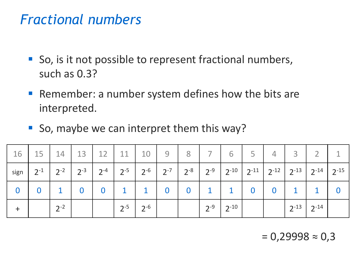#### *Fractional numbers*

- So, is it not possible to represent fractional numbers, such as 0.3?
- Remember: a number system defines how the bits are interpreted.
- So, maybe we can interpret them this way?

| 16       | 15 <sup>1</sup> | 14       | 13                                  | 12                      | 11           | 10           | 9                       | 8                       | 7 <sup>1</sup> | 6         | 5                       | $\overline{4}$ | $\overline{3}$                                                                |           |
|----------|-----------------|----------|-------------------------------------|-------------------------|--------------|--------------|-------------------------|-------------------------|----------------|-----------|-------------------------|----------------|-------------------------------------------------------------------------------|-----------|
| sign     | $2^{-1}$        | $2^{-2}$ | $\cdot$ 1 2 <sup>-3</sup> 1 $\cdot$ | $2^{-4}$                | $2^{-5}$     | $2^{-6}$     |                         | $2^{-7}$   $2^{-8}$     | $12-9$   .     |           |                         |                | $2^{-10}$ 2 <sup>-11</sup> 2 <sup>-12</sup> 2 <sup>-13</sup> 2 <sup>-14</sup> | $2^{-15}$ |
| $\bf{0}$ |                 |          | $\bf{0}$                            | $\overline{\mathbf{0}}$ | $\mathbf{1}$ | $\mathbf{1}$ | $\overline{\mathbf{0}}$ | $\overline{\mathbf{0}}$ |                |           | $\overline{\mathbf{0}}$ | $\bf{0}$       |                                                                               |           |
|          |                 | $2^{-2}$ |                                     |                         | $2^{-5}$     | $2^{-6}$     |                         |                         | $2^{-9}$       | $2^{-10}$ |                         |                | $2^{-13}$ 2 <sup>-14</sup>                                                    |           |

 $= 0,29998 \approx 0,3$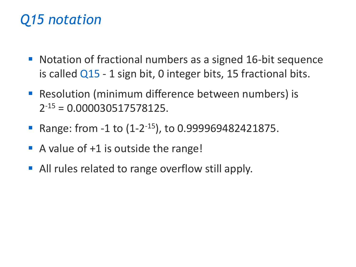# *Q15 notation*

- Notation of fractional numbers as a signed 16-bit sequence is called Q15 - 1 sign bit, 0 integer bits, 15 fractional bits.
- Resolution (minimum difference between numbers) is  $2^{-15} = 0.000030517578125.$
- Range: from -1 to (1-2<sup>-15</sup>), to 0.999969482421875.
- $\blacksquare$  A value of  $+1$  is outside the range!
- All rules related to range overflow still apply.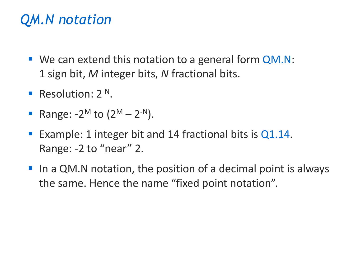# *QM.N notation*

- We can extend this notation to a general form QM.N: 1 sign bit, *M* integer bits, *N* fractional bits.
- Resolution: 2<sup>-N</sup>.
- Range:  $-2^{M}$  to  $(2^{M} 2^{-N}).$
- **Example: 1 integer bit and 14 fractional bits is**  $Q1.14$ **.** Range: -2 to "near" 2.
- In a QM.N notation, the position of a decimal point is always the same. Hence the name "fixed point notation".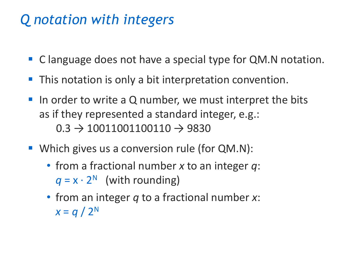## *Q notation with integers*

- C language does not have a special type for QM.N notation.
- This notation is only a bit interpretation convention.
- In order to write a Q number, we must interpret the bits as if they represented a standard integer, e.g.:  $0.3 \rightarrow 10011001100110 \rightarrow 9830$
- Which gives us a conversion rule (for QM.N):
	- from a fractional number *x* to an integer *q*:  $q = x \cdot 2^N$  (with rounding)
	- from an integer *q* to a fractional number *x*:  $x = q / 2^N$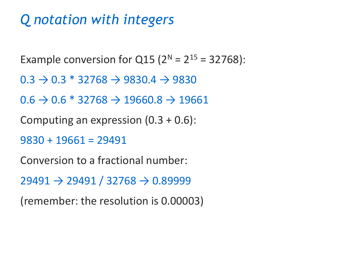# *Q notation with integers*

Example conversion for  $Q15 (2^N = 2^{15} = 32768)$ :  $0.3 \rightarrow 0.3 * 32768 \rightarrow 9830.4 \rightarrow 9830$  $0.6 \rightarrow 0.6 * 32768 \rightarrow 19660.8 \rightarrow 19661$ 

Computing an expression  $(0.3 + 0.6)$ :

```
9830 + 19661 = 29491
```
Conversion to a fractional number:

 $29491 \rightarrow 29491 / 32768 \rightarrow 0.89999$ 

(remember: the resolution is 0.00003)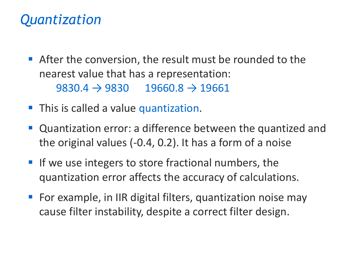### *Quantization*

- **EXTER** After the conversion, the result must be rounded to the nearest value that has a representation:  $9830.4 \rightarrow 9830$   $19660.8 \rightarrow 19661$
- **This is called a value quantization.**
- Quantization error: a difference between the quantized and the original values (-0.4, 0.2). It has a form of a noise
- If we use integers to store fractional numbers, the quantization error affects the accuracy of calculations.
- For example, in IIR digital filters, quantization noise may cause filter instability, despite a correct filter design.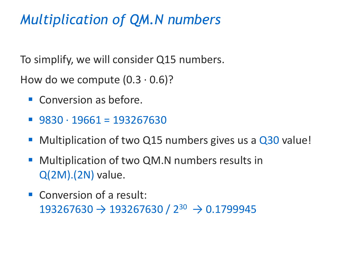# *Multiplication of QM.N numbers*

To simplify, we will consider Q15 numbers.

How do we compute  $(0.3 \cdot 0.6)$ ?

- Conversion as before.
- $\blacksquare$  9830  $\cdot$  19661 = 193267630
- Multiplication of two Q15 numbers gives us a Q30 value!
- Multiplication of two QM.N numbers results in Q(2M).(2N) value.
- Conversion of a result:  $193267630 \rightarrow 193267630 / 2^{30} \rightarrow 0.1799945$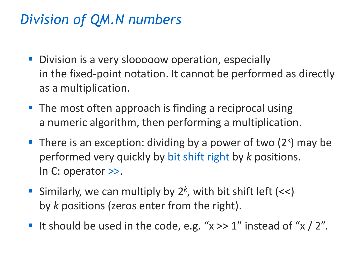# *Division of QM.N numbers*

- Division is a very slooooow operation, especially in the fixed-point notation. It cannot be performed as directly as a multiplication.
- The most often approach is finding a reciprocal using a numeric algorithm, then performing a multiplication.
- **There is an exception: dividing by a power of two (2k) may be** performed very quickly by bit shift right by *k* positions. In C: operator >>.
- Similarly, we can multiply by 2<sup>k</sup>, with bit shift left (<<) by *k* positions (zeros enter from the right).
- It should be used in the code, e.g. " $x \gg 1$ " instead of " $x / 2$ ".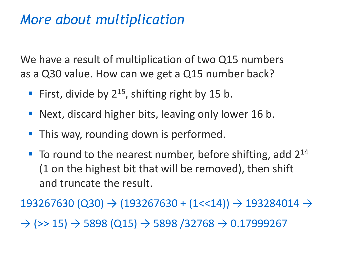#### *More about multiplication*

We have a result of multiplication of two Q15 numbers as a Q30 value. How can we get a Q15 number back?

- First, divide by  $2^{15}$ , shifting right by 15 b.
- Next, discard higher bits, leaving only lower 16 b.
- This way, rounding down is performed.
- To round to the nearest number, before shifting, add 2<sup>14</sup> (1 on the highest bit that will be removed), then shift and truncate the result.

 $193267630 (Q30) \rightarrow (193267630 + (1 \ll 14)) \rightarrow 193284014 \rightarrow$ 

 $\rightarrow$  (>> 15)  $\rightarrow$  5898 (Q15)  $\rightarrow$  5898 (32768  $\rightarrow$  0.17999267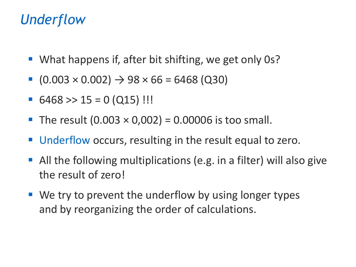#### *Underflow*

- What happens if, after bit shifting, we get only 0s?
- $(0.003 \times 0.002) \rightarrow 98 \times 66 = 6468$  (Q30)
- $6468 \gg 15 = 0 (Q15)$ !!!
- **The result**  $(0.003 \times 0.002) = 0.00006$  **is too small.**
- Underflow occurs, resulting in the result equal to zero.
- All the following multiplications (e.g. in a filter) will also give the result of zero!
- $\blacksquare$  We try to prevent the underflow by using longer types and by reorganizing the order of calculations.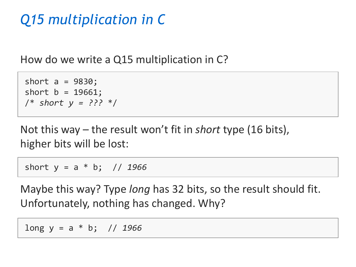# *Q15 multiplication in C*

How do we write a Q15 multiplication in C?

```
short a = 9830;
short b = 19661;
/* short y = ??? */
```
Not this way – the result won't fit in *short* type (16 bits), higher bits will be lost:

short y = a \* b; // *1966*

Maybe this way? Type *long* has 32 bits, so the result should fit. Unfortunately, nothing has changed. Why?

long y = a \* b; // *1966*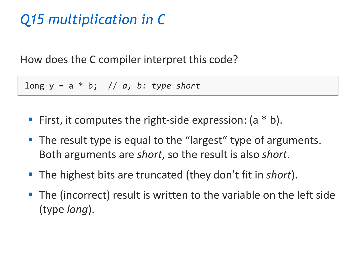# *Q15 multiplication in C*

How does the C compiler interpret this code?

long y = a \* b; // *a, b: type short*

- First, it computes the right-side expression:  $(a * b)$ .
- The result type is equal to the "largest" type of arguments. Both arguments are *short*, so the result is also *short*.
- The highest bits are truncated (they don't fit in *short*).
- The (incorrect) result is written to the variable on the left side (type *long*).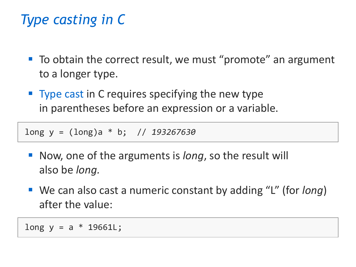# *Type casting in C*

- To obtain the correct result, we must "promote" an argument to a longer type.
- $\blacksquare$  Type cast in C requires specifying the new type in parentheses before an expression or a variable.

long y = (long)a \* b; // *193267630*

- Now, one of the arguments is *long*, so the result will also be *long.*
- We can also cast a numeric constant by adding "L" (for *long*) after the value:

 $long y = a * 19661L;$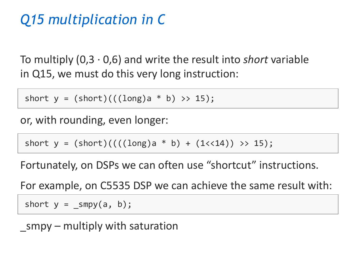# *Q15 multiplication in C*

To multiply (0,3 · 0,6) and write the result into *short* variable in Q15, we must do this very long instruction:

short  $y = (short) (((long)a * b) >> 15);$ 

or, with rounding, even longer:

short  $y = (short) / (((long)a * b) + (1 < 14)) >> 15);$ 

Fortunately, on DSPs we can often use "shortcut" instructions.

For example, on C5535 DSP we can achieve the same result with:

short  $y =$  smpy $(a, b)$ ;

 $smpy$  – multiply with saturation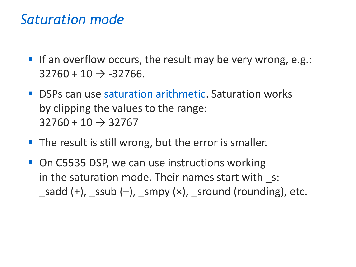#### *Saturation mode*

- If an overflow occurs, the result may be very wrong, e.g.:  $32760 + 10 \rightarrow -32766$ .
- DSPs can use saturation arithmetic. Saturation works by clipping the values to the range:  $32760 + 10 \rightarrow 32767$
- **The result is still wrong, but the error is smaller.**
- On C5535 DSP, we can use instructions working in the saturation mode. Their names start with s: sadd  $(+)$ , ssub  $(-)$ , smpy  $(x)$ , sround (rounding), etc.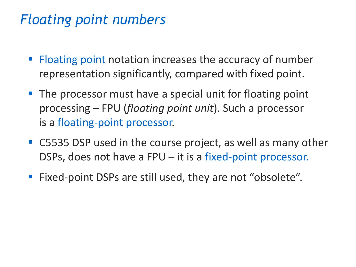# *Floating point numbers*

- Floating point notation increases the accuracy of number representation significantly, compared with fixed point.
- The processor must have a special unit for floating point processing – FPU (*floating point unit*). Such a processor is a floating-point processor.
- C5535 DSP used in the course project, as well as many other DSPs, does not have a FPU – it is a fixed-point processor.
- Fixed-point DSPs are still used, they are not "obsolete".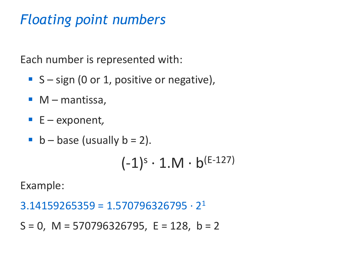# *Floating point numbers*

Each number is represented with:

- $\blacksquare$  S sign (0 or 1, positive or negative),
- $\blacksquare$  M mantissa,
- E exponent*,*
- $\blacksquare$  b base (usually b = 2).

$$
(-1)^s \cdot 1.M \cdot b^{(E-127)}
$$

Example:

 $3.14159265359 = 1.570796326795 \cdot 2^{1}$ 

 $S = 0$ , M = 570796326795, E = 128, b = 2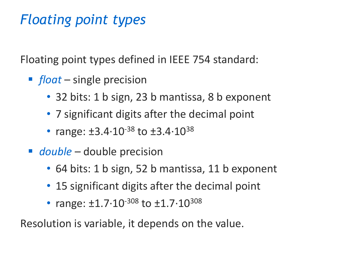# *Floating point types*

Floating point types defined in IEEE 754 standard:

- *float* single precision
	- 32 bits: 1 b sign, 23 b mantissa, 8 b exponent
	- 7 significant digits after the decimal point
	- range:  $\pm 3.4 \cdot 10^{-38}$  to  $\pm 3.4 \cdot 10^{38}$
- *double* double precision
	- 64 bits: 1 b sign, 52 b mantissa, 11 b exponent
	- 15 significant digits after the decimal point
	- range:  $\pm 1.7 \cdot 10^{-308}$  to  $\pm 1.7 \cdot 10^{308}$

Resolution is variable, it depends on the value.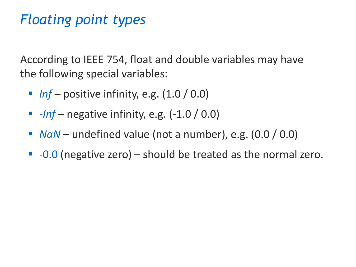# *Floating point types*

According to IEEE 754, float and double variables may have the following special variables:

- $\blacksquare$  *Inf* positive infinity, e.g.  $(1.0 / 0.0)$
- *-Inf* negative infinity, e.g. (-1.0 / 0.0)
- *NaN* undefined value (not a number), e.g. (0.0 / 0.0)
- $\blacksquare$  -0.0 (negative zero) should be treated as the normal zero.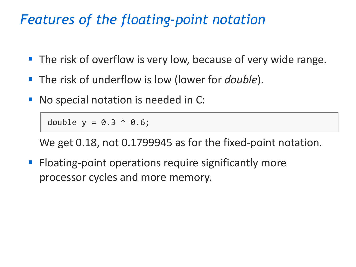#### *Features of the floating-point notation*

- The risk of overflow is very low, because of very wide range.
- The risk of underflow is low (lower for *double*).
- No special notation is needed in C:

```
double y = 0.3 * 0.6;
```
We get 0.18, not 0.1799945 as for the fixed-point notation.

■ Floating-point operations require significantly more processor cycles and more memory.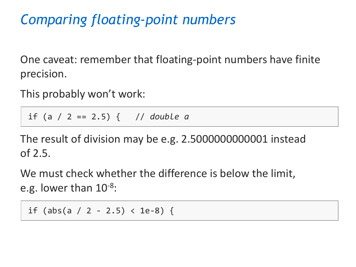# *Comparing floating-point numbers*

One caveat: remember that floating-point numbers have finite precision.

This probably won't work:

if (a / 2 == 2.5) { // *double a*

The result of division may be e.g. 2.5000000000001 instead of 2.5.

We must check whether the difference is below the limit, e.g. lower than  $10^{-8}$ :

if (abs(a / 2 - 2.5) < 1e-8) {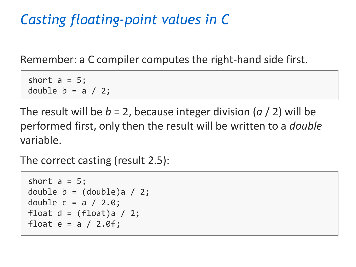# *Casting floating-point values in C*

Remember: a C compiler computes the right-hand side first.

short  $a = 5$ ; double  $b = a / 2$ ;

The result will be *b* = 2, because integer division (*a* / 2) will be performed first, only then the result will be written to a *double*  variable.

The correct casting (result 2.5):

```
short a = 5;
double b = (double)a / 2;double c = a / 2.0;
float d = (float)a / 2;float e = a / 2.0f;
```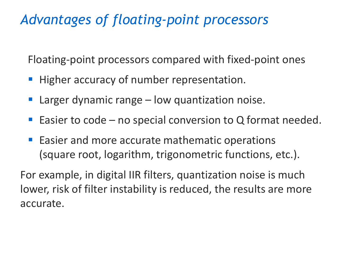# *Advantages of floating-point processors*

Floating-point processors compared with fixed-point ones

- Higher accuracy of number representation.
- Larger dynamic range  $-$  low quantization noise.
- Easier to code no special conversion to  $Q$  format needed.
- Easier and more accurate mathematic operations (square root, logarithm, trigonometric functions, etc.).

For example, in digital IIR filters, quantization noise is much lower, risk of filter instability is reduced, the results are more accurate.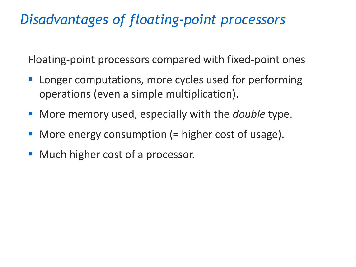# *Disadvantages of floating-point processors*

Floating-point processors compared with fixed-point ones

- Longer computations, more cycles used for performing operations (even a simple multiplication).
- More memory used, especially with the *double* type.
- More energy consumption  $($  = higher cost of usage).
- Much higher cost of a processor.